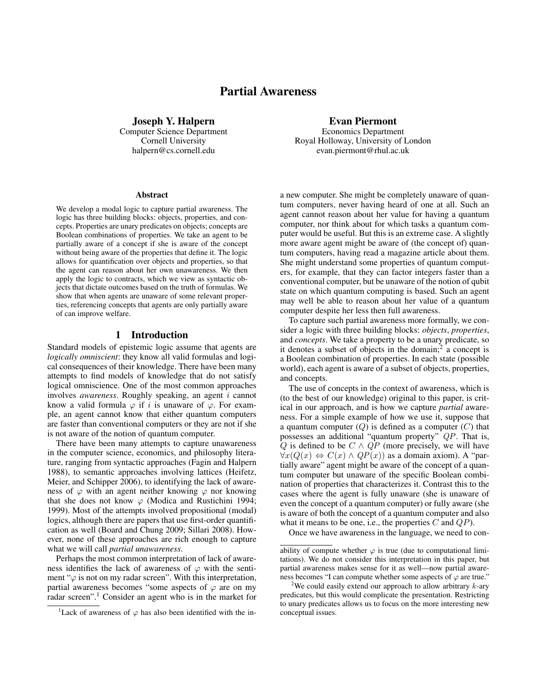# Partial Awareness

Joseph Y. Halpern Computer Science Department Cornell University halpern@cs.cornell.edu

#### Abstract

We develop a modal logic to capture partial awareness. The logic has three building blocks: objects, properties, and concepts. Properties are unary predicates on objects; concepts are Boolean combinations of properties. We take an agent to be partially aware of a concept if she is aware of the concept without being aware of the properties that define it. The logic allows for quantification over objects and properties, so that the agent can reason about her own unawareness. We then apply the logic to contracts, which we view as syntactic objects that dictate outcomes based on the truth of formulas. We show that when agents are unaware of some relevant properties, referencing concepts that agents are only partially aware of can improve welfare.

### 1 Introduction

Standard models of epistemic logic assume that agents are *logically omniscient*: they know all valid formulas and logical consequences of their knowledge. There have been many attempts to find models of knowledge that do not satisfy logical omniscience. One of the most common approaches involves *awareness*. Roughly speaking, an agent i cannot know a valid formula  $\varphi$  if i is unaware of  $\varphi$ . For example, an agent cannot know that either quantum computers are faster than conventional computers or they are not if she is not aware of the notion of quantum computer.

There have been many attempts to capture unawareness in the computer science, economics, and philosophy literature, ranging from syntactic approaches (Fagin and Halpern 1988), to semantic approaches involving lattices (Heifetz, Meier, and Schipper 2006), to identifying the lack of awareness of  $\varphi$  with an agent neither knowing  $\varphi$  nor knowing that she does not know  $\varphi$  (Modica and Rustichini 1994; 1999). Most of the attempts involved propositional (modal) logics, although there are papers that use first-order quantification as well (Board and Chung 2009; Sillari 2008). However, none of these approaches are rich enough to capture what we will call *partial unawareness*.

Perhaps the most common interpretation of lack of awareness identifies the lack of awareness of  $\varphi$  with the sentiment " $\varphi$  is not on my radar screen". With this interpretation, partial awareness becomes "some aspects of  $\varphi$  are on my radar screen".<sup>1</sup> Consider an agent who is in the market for Evan Piermont

Economics Department Royal Holloway, University of London evan.piermont@rhul.ac.uk

a new computer. She might be completely unaware of quantum computers, never having heard of one at all. Such an agent cannot reason about her value for having a quantum computer, nor think about for which tasks a quantum computer would be useful. But this is an extreme case. A slightly more aware agent might be aware of (the concept of) quantum computers, having read a magazine article about them. She might understand some properties of quantum computers, for example, that they can factor integers faster than a conventional computer, but be unaware of the notion of qubit state on which quantum computing is based. Such an agent may well be able to reason about her value of a quantum computer despite her less then full awareness.

To capture such partial awareness more formally, we consider a logic with three building blocks: *objects*, *properties*, and *concepts*. We take a property to be a unary predicate, so it denotes a subset of objects in the domain;<sup>2</sup> a concept is a Boolean combination of properties. In each state (possible world), each agent is aware of a subset of objects, properties, and concepts.

The use of concepts in the context of awareness, which is (to the best of our knowledge) original to this paper, is critical in our approach, and is how we capture *partial* awareness. For a simple example of how we use it, suppose that a quantum computer  $(Q)$  is defined as a computer  $(C)$  that possesses an additional "quantum property" QP. That is, Q is defined to be  $C \wedge QP$  (more precisely, we will have  $\forall x(Q(x) \Leftrightarrow C(x) \wedge QP(x))$  as a domain axiom). A "partially aware" agent might be aware of the concept of a quantum computer but unaware of the specific Boolean combination of properties that characterizes it. Contrast this to the cases where the agent is fully unaware (she is unaware of even the concept of a quantum computer) or fully aware (she is aware of both the concept of a quantum computer and also what it means to be one, i.e., the properties  $C$  and  $QP$ ).

Once we have awareness in the language, we need to con-

<sup>&</sup>lt;sup>1</sup>Lack of awareness of  $\varphi$  has also been identified with the in-

ability of compute whether  $\varphi$  is true (due to computational limitations). We do not consider this interpretation in this paper, but partial awareness makes sense for it as well—now partial awareness becomes "I can compute whether some aspects of  $\varphi$  are true."

<sup>&</sup>lt;sup>2</sup>We could easily extend our approach to allow arbitrary  $k$ -ary predicates, but this would complicate the presentation. Restricting to unary predicates allows us to focus on the more interesting new conceptual issues.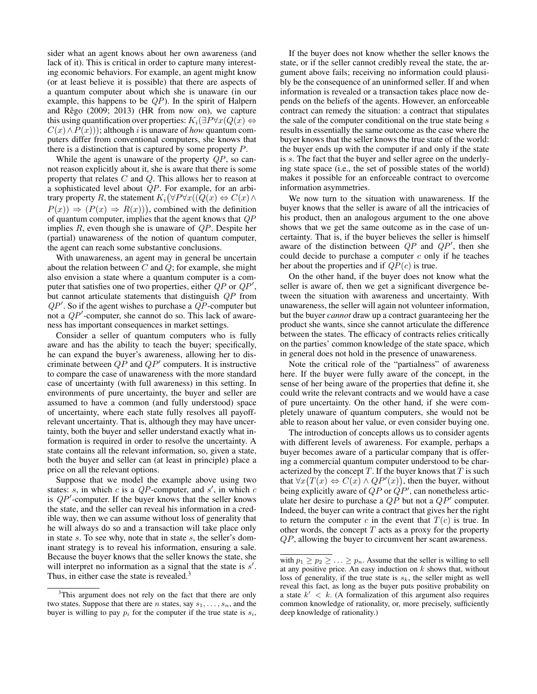sider what an agent knows about her own awareness (and lack of it). This is critical in order to capture many interesting economic behaviors. For example, an agent might know (or at least believe it is possible) that there are aspects of a quantum computer about which she is unaware (in our example, this happens to be  $QP$ ). In the spirit of Halpern and Rêgo  $(2009; 2013)$  (HR from now on), we capture this using quantification over properties:  $K_i(\exists P \forall x (Q(x) \Leftrightarrow$  $C(x) \wedge P(x)$ ); although *i* is unaware of *how* quantum computers differ from conventional computers, she knows that there is a distinction that is captured by some property P.

While the agent is unaware of the property  $QP$ , so cannot reason explicitly about it, she is aware that there is some property that relates C and Q. This allows her to reason at a sophisticated level about QP. For example, for an arbitrary property R, the statement  $K_i(\forall P \forall x ((\overline{Q}(x) \Leftrightarrow C(x) \wedge$  $P(x) \Rightarrow (P(x) \Rightarrow R(x))$ , combined with the definition of quantum computer, implies that the agent knows that  $QP$ implies  $R$ , even though she is unaware of  $QP$ . Despite her (partial) unawareness of the notion of quantum computer, the agent can reach some substantive conclusions.

With unawareness, an agent may in general be uncertain about the relation between  $C$  and  $Q$ ; for example, she might also envision a state where a quantum computer is a computer that satisfies one of two properties, either  $QP$  or  $QP'$ , but cannot articulate statements that distinguish QP from  $QP'$ . So if the agent wishes to purchase a  $QP$ -computer but not a  $QP'$ -computer, she cannot do so. This lack of awareness has important consequences in market settings.

Consider a seller of quantum computers who is fully aware and has the ability to teach the buyer; specifically, he can expand the buyer's awareness, allowing her to discriminate between  $QP$  and  $QP'$  computers. It is instructive to compare the case of unawareness with the more standard case of uncertainty (with full awareness) in this setting. In environments of pure uncertainty, the buyer and seller are assumed to have a common (and fully understood) space of uncertainty, where each state fully resolves all payoffrelevant uncertainty. That is, although they may have uncertainty, both the buyer and seller understand exactly what information is required in order to resolve the uncertainty. A state contains all the relevant information, so, given a state, both the buyer and seller can (at least in principle) place a price on all the relevant options.

Suppose that we model the example above using two states: s, in which c is a  $QP$ -computer, and s', in which c is  $QP'$ -computer. If the buyer knows that the seller knows the state, and the seller can reveal his information in a credible way, then we can assume without loss of generality that he will always do so and a transaction will take place only in state s. To see why, note that in state s, the seller's dominant strategy is to reveal his information, ensuring a sale. Because the buyer knows that the seller knows the state, she will interpret no information as a signal that the state is  $s'$ . Thus, in either case the state is revealed.<sup>3</sup>

If the buyer does not know whether the seller knows the state, or if the seller cannot credibly reveal the state, the argument above fails; receiving no information could plausibly be the consequence of an uninformed seller. If and when information is revealed or a transaction takes place now depends on the beliefs of the agents. However, an enforceable contract can remedy the situation: a contract that stipulates the sale of the computer conditional on the true state being  $s$ results in essentially the same outcome as the case where the buyer knows that the seller knows the true state of the world: the buyer ends up with the computer if and only if the state is s. The fact that the buyer and seller agree on the underlying state space (i.e., the set of possible states of the world) makes it possible for an enforceable contract to overcome information asymmetries.

We now turn to the situation with unawareness. If the buyer knows that the seller is aware of all the intricacies of his product, then an analogous argument to the one above shows that we get the same outcome as in the case of uncertainty. That is, if the buyer believes the seller is himself aware of the distinction between  $QP$  and  $QP'$ , then she could decide to purchase a computer  $c$  only if he teaches her about the properties and if  $QP(c)$  is true.

On the other hand, if the buyer does not know what the seller is aware of, then we get a significant divergence between the situation with awareness and uncertainty. With unawareness, the seller will again not volunteer information, but the buyer *cannot* draw up a contract guaranteeing her the product she wants, since she cannot articulate the difference between the states. The efficacy of contracts relies critically on the parties' common knowledge of the state space, which in general does not hold in the presence of unawareness.

Note the critical role of the "partialness" of awareness here. If the buyer were fully aware of the concept, in the sense of her being aware of the properties that define it, she could write the relevant contracts and we would have a case of pure uncertainty. On the other hand, if she were completely unaware of quantum computers, she would not be able to reason about her value, or even consider buying one.

The introduction of concepts allows us to consider agents with different levels of awareness. For example, perhaps a buyer becomes aware of a particular company that is offering a commercial quantum computer understood to be characterized by the concept  $T$ . If the buyer knows that  $T$  is such that  $\forall x (T(x) \Leftrightarrow C(x) \wedge QP'(x))$ , then the buyer, without being explicitly aware of  $QP$  or  $QP'$ , can nonetheless articulate her desire to purchase a  $QP$  but not a  $QP'$  computer. Indeed, the buyer can write a contract that gives her the right to return the computer c in the event that  $T(c)$  is true. In other words, the concept  $T$  acts as a proxy for the property QP, allowing the buyer to circumvent her scant awareness.

<sup>&</sup>lt;sup>3</sup>This argument does not rely on the fact that there are only two states. Suppose that there are n states, say  $s_1, \ldots, s_n$ , and the buyer is willing to pay  $p_i$  for the computer if the true state is  $s_i$ ,

with  $p_1 \geq p_2 \geq \ldots \geq p_n$ . Assume that the seller is willing to sell at any positive price. An easy induction on  $k$  shows that, without loss of generality, if the true state is  $s_k$ , the seller might as well reveal this fact, as long as the buyer puts positive probability on a state  $k' < k$ . (A formalization of this argument also requires common knowledge of rationality, or, more precisely, sufficiently deep knowledge of rationality.)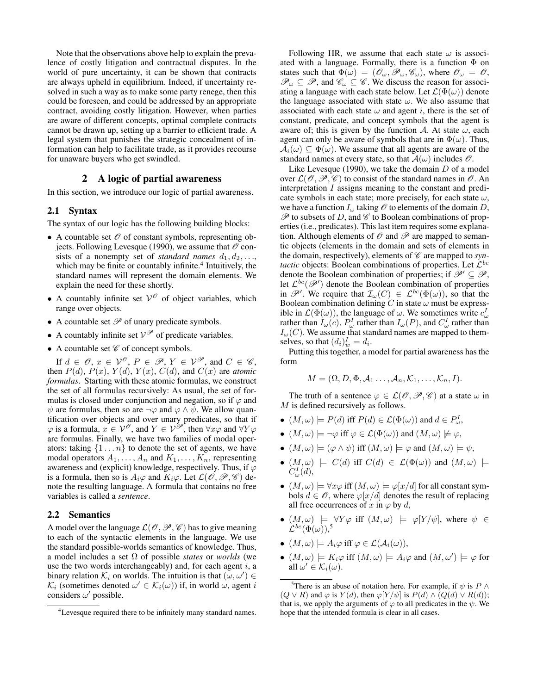Note that the observations above help to explain the prevalence of costly litigation and contractual disputes. In the world of pure uncertainty, it can be shown that contracts are always upheld in equilibrium. Indeed, if uncertainty resolved in such a way as to make some party renege, then this could be foreseen, and could be addressed by an appropriate contract, avoiding costly litigation. However, when parties are aware of different concepts, optimal complete contracts cannot be drawn up, setting up a barrier to efficient trade. A legal system that punishes the strategic concealment of information can help to facilitate trade, as it provides recourse for unaware buyers who get swindled.

# 2 A logic of partial awareness

In this section, we introduce our logic of partial awareness.

## 2.1 Syntax

The syntax of our logic has the following building blocks:

- A countable set  $\mathcal O$  of constant symbols, representing objects. Following Levesque (1990), we assume that  $\mathcal O$  consists of a nonempty set of *standard names*  $d_1, d_2, \ldots$ , which may be finite or countably infinite.<sup>4</sup> Intuitively, the standard names will represent the domain elements. We explain the need for these shortly.
- A countably infinite set  $V^{\mathcal{O}}$  of object variables, which range over objects.
- A countable set  $P$  of unary predicate symbols.
- A countably infinite set  $V^{\mathscr{P}}$  of predicate variables.
- A countable set  $\mathscr C$  of concept symbols.

If  $d \in \mathscr{O}$ ,  $x \in \mathcal{V}^{\mathscr{O}}$ ,  $P \in \mathscr{P}$ ,  $Y \in \mathcal{V}^{\mathscr{P}}$ , and  $C \in \mathscr{C}$ , then  $P(d)$ ,  $P(x)$ ,  $Y(d)$ ,  $Y(x)$ ,  $C(d)$ , and  $C(x)$  are *atomic formulas*. Starting with these atomic formulas, we construct the set of all formulas recursively: As usual, the set of formulas is closed under conjunction and negation, so if  $\varphi$  and  $\psi$  are formulas, then so are  $\neg \varphi$  and  $\varphi \wedge \psi$ . We allow quantification over objects and over unary predicates, so that if  $\varphi$  is a formula,  $x \in V^{\mathscr{P}}$ , and  $Y \in V^{\mathscr{P}}$ , then  $\forall x \varphi$  and  $\forall Y \varphi$ are formulas. Finally, we have two families of modal operators: taking  $\{1 \dots n\}$  to denote the set of agents, we have modal operators  $A_1, \ldots, A_n$  and  $K_1, \ldots, K_n$ , representing awareness and (explicit) knowledge, respectively. Thus, if  $\varphi$ is a formula, then so is  $A_i\varphi$  and  $K_i\varphi$ . Let  $\mathcal{L}(\mathcal{O}, \mathcal{P}, \mathcal{C})$  denote the resulting language. A formula that contains no free variables is called a *sentence*.

### 2.2 Semantics

A model over the language  $\mathcal{L}(\mathcal{O}, \mathcal{P}, \mathcal{C})$  has to give meaning to each of the syntactic elements in the language. We use the standard possible-worlds semantics of knowledge. Thus, a model includes a set Ω of possible *states* or *worlds* (we use the two words interchangeably) and, for each agent  $i$ , a binary relation  $\mathcal{K}_i$  on worlds. The intuition is that  $(\omega, \omega') \in$  $\mathcal{K}_i$  (sometimes denoted  $\omega' \in \mathcal{K}_i(\omega)$ ) if, in world  $\omega$ , agent i considers  $\omega'$  possible.

Following HR, we assume that each state  $\omega$  is associated with a language. Formally, there is a function  $\Phi$  on states such that  $\Phi(\omega) = (\mathcal{O}_{\omega}, \mathcal{P}_{\omega}, \mathcal{C}_{\omega})$ , where  $\mathcal{O}_{\omega} = \mathcal{O}$ ,  $\mathscr{P}_{\omega} \subseteq \mathscr{P}$ , and  $\mathscr{C}_{\omega} \subseteq \mathscr{C}$ . We discuss the reason for associating a language with each state below. Let  $\mathcal{L}(\Phi(\omega))$  denote the language associated with state  $\omega$ . We also assume that associated with each state  $\omega$  and agent i, there is the set of constant, predicate, and concept symbols that the agent is aware of; this is given by the function A. At state  $\omega$ , each agent can only be aware of symbols that are in  $\Phi(\omega)$ . Thus,  $A_i(\omega) \subseteq \Phi(\omega)$ . We assume that all agents are aware of the standard names at every state, so that  $A(\omega)$  includes  $\mathcal{O}$ .

Like Levesque (1990), we take the domain  $D$  of a model over  $\mathcal{L}(\mathcal{O}, \mathcal{P}, \mathcal{C})$  to consist of the standard names in  $\mathcal{O}$ . An interpretation I assigns meaning to the constant and predicate symbols in each state; more precisely, for each state  $\omega$ , we have a function  $I_{\omega}$  taking  $\mathcal O$  to elements of the domain D,  $\mathscr P$  to subsets of D, and  $\mathscr C$  to Boolean combinations of properties (i.e., predicates). This last item requires some explanation. Although elements of  $\mathcal O$  and  $\mathcal P$  are mapped to semantic objects (elements in the domain and sets of elements in the domain, respectively), elements of  $\mathscr C$  are mapped to *syntactic* objects: Boolean combinations of properties. Let  $\mathcal{L}^{bc}$ denote the Boolean combination of properties; if  $\mathscr{P}' \subseteq \mathscr{P}$ , let  $\mathcal{L}^{bc}(\mathscr{P}')$  denote the Boolean combination of properties in  $\mathscr{P}'$ . We require that  $\mathcal{I}_{\omega}(C) \in \mathcal{L}^{bc}(\Phi(\omega))$ , so that the Boolean combination defining  $C$  in state  $\omega$  must be expressible in  $\mathcal{L}(\Phi(\omega))$ , the language of  $\omega$ . We sometimes write  $c^I_{\omega}$ rather than  $I_{\omega}(c)$ ,  $P_{\omega}^{I}$  rather than  $I_{\omega}(P)$ , and  $C_{\omega}^{I}$  rather than  $I_{\omega}(C)$ . We assume that standard names are mapped to themselves, so that  $(d_i)_{w}^I = d_i$ .

Putting this together, a model for partial awareness has the form

$$
M = (\Omega, D, \Phi, \mathcal{A}_1 \dots, \mathcal{A}_n, \mathcal{K}_1, \dots, \mathcal{K}_n, I).
$$

The truth of a sentence  $\varphi \in \mathcal{L}(\mathcal{O}, \mathcal{P}, \mathcal{C})$  at a state  $\omega$  in M is defined recursively as follows.

- $(M, \omega) \models P(d)$  iff  $P(d) \in \mathcal{L}(\Phi(\omega))$  and  $d \in P_{\omega}^I$ ,
- $(M, \omega) \models \neg \varphi$  iff  $\varphi \in \mathcal{L}(\Phi(\omega))$  and  $(M, \omega) \not\models \varphi$ ,
- $(M, \omega) \models (\varphi \land \psi)$  iff  $(M, \omega) \models \varphi$  and  $(M, \omega) \models \psi$ ,
- $(M, \omega)$   $\models$   $C(d)$  iff  $C(d) \in \mathcal{L}(\Phi(\omega))$  and  $(M, \omega)$   $\models$  $C^I_\omega(d),$
- $(M, \omega) \models \forall x \varphi$  iff  $(M, \omega) \models \varphi[x/d]$  for all constant symbols  $d \in \mathcal{O}$ , where  $\varphi[x/d]$  denotes the result of replacing all free occurrences of x in  $\varphi$  by d,
- $(M, \omega)$   $\models \forall Y \varphi$  iff  $(M, \omega)$   $\models \varphi[Y/\psi]$ , where  $\psi \in$  $\mathcal{L}^{bc}(\Phi(\omega)),$   $^5$
- $(M, \omega) \models A_i \varphi$  iff  $\varphi \in \mathcal{L}(\mathcal{A}_i(\omega)),$
- $(M, \omega) \models K_i \varphi$  iff  $(M, \omega) \models A_i \varphi$  and  $(M, \omega') \models \varphi$  for all  $\omega' \in \mathcal{K}_i(\omega)$ .

<sup>&</sup>lt;sup>4</sup>Levesque required there to be infinitely many standard names.

<sup>&</sup>lt;sup>5</sup>There is an abuse of notation here. For example, if  $\psi$  is  $P \wedge$  $(Q \vee R)$  and  $\varphi$  is  $Y(d)$ , then  $\varphi[Y/\psi]$  is  $P(d) \wedge (Q(d) \vee R(d));$ that is, we apply the arguments of  $\varphi$  to all predicates in the  $\psi$ . We hope that the intended formula is clear in all cases.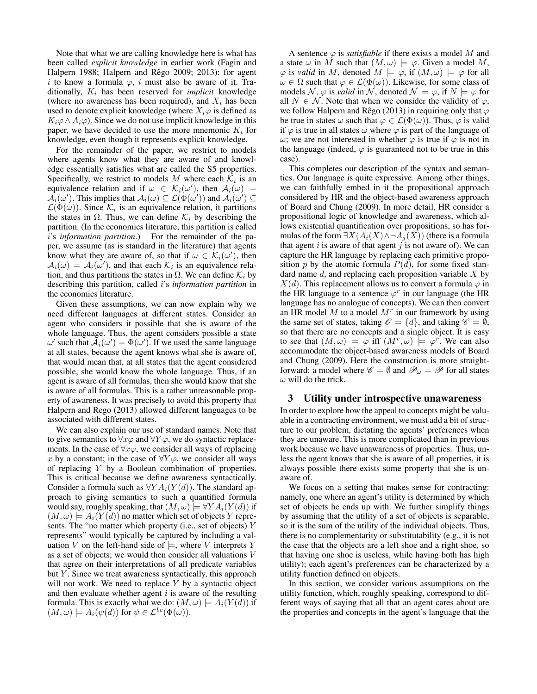Note that what we are calling knowledge here is what has been called *explicit knowledge* in earlier work (Fagin and Halpern 1988; Halpern and Rêgo 2009; 2013): for agent i to know a formula  $\varphi$ , i must also be aware of it. Traditionally,  $K_i$  has been reserved for *implicit* knowledge (where no awareness has been required), and  $X_i$  has been used to denote explicit knowledge (where  $X_i\varphi$  is defined as  $K_i\varphi \wedge A_i\varphi$ ). Since we do not use implicit knowledge in this paper, we have decided to use the more mnemonic  $K_i$  for knowledge, even though it represents explicit knowledge.

For the remainder of the paper, we restrict to models where agents know what they are aware of and knowledge essentially satisfies what are called the S5 properties. Specifically, we restrict to models M where each  $\mathcal{K}_i$  is an equivalence relation and if  $\omega \in \mathcal{K}_i(\omega)$ , then  $\mathcal{A}_i(\omega) =$  $\mathcal{A}_i(\omega')$ . This implies that  $\mathcal{A}_i(\omega) \subseteq \mathcal{L}(\Phi(\omega'))$  and  $\mathcal{A}_i(\omega') \subseteq$  $\mathcal{L}(\Phi(\omega))$ . Since  $\mathcal{K}_i$  is an equivalence relation, it partitions the states in  $\Omega$ . Thus, we can define  $\mathcal{K}_i$  by describing the partition. (In the economics literature, this partition is called i's *information partition*.) For the remainder of the paper, we assume (as is standard in the literature) that agents know what they are aware of, so that if  $\omega \in \mathcal{K}_i(\omega')$ , then  $A_i(\omega) = A_i(\omega')$ , and that each  $\mathcal{K}_i$  is an equivalence relation, and thus partitions the states in  $\Omega$ . We can define  $\mathcal{K}_i$  by describing this partition, called i's *information partition* in the economics literature.

Given these assumptions, we can now explain why we need different languages at different states. Consider an agent who considers it possible that she is aware of the whole language. Thus, the agent considers possible a state  $ω'$  such that  $\overline{A}_i$  ( $ω'$ ) =  $Φ(ω')$ . If we used the same language at all states, because the agent knows what she is aware of, that would mean that, at all states that the agent considered possible, she would know the whole language. Thus, if an agent is aware of all formulas, then she would know that she is aware of all formulas. This is a rather unreasonable property of awareness. It was precisely to avoid this property that Halpern and Rego (2013) allowed different languages to be associated with different states.

We can also explain our use of standard names. Note that to give semantics to  $\forall x \varphi$  and  $\forall Y \varphi$ , we do syntactic replacements. In the case of  $\forall x \varphi$ , we consider all ways of replacing x by a constant; in the case of  $\forall Y \varphi$ , we consider all ways of replacing Y by a Boolean combination of properties. This is critical because we define awareness syntactically. Consider a formula such as  $\forall YA_i(Y(d))$ . The standard approach to giving semantics to such a quantified formula would say, roughly speaking, that  $(M, \omega) \models \forall YA_i(Y(d))$  if  $(M, \omega) \models A_i(Y(d))$  no matter which set of objects Y represents. The "no matter which property (i.e., set of objects) Y represents" would typically be captured by including a valuation V on the left-hand side of  $\models$ , where V interprets Y as a set of objects; we would then consider all valuations V that agree on their interpretations of all predicate variables but  $Y$ . Since we treat awareness syntactically, this approach will not work. We need to replace  $Y$  by a syntactic object and then evaluate whether agent  $i$  is aware of the resulting formula. This is exactly what we do:  $(M, \omega) \models A_i(Y(d))$  if  $(M, \omega) \models A_i(\psi(d))$  for  $\psi \in \mathcal{L}^{bc}(\Phi(\omega)).$ 

A sentence  $\varphi$  is *satisfiable* if there exists a model M and a state  $\omega$  in M such that  $(M, \omega) \models \varphi$ . Given a model M,  $\varphi$  is *valid* in M, denoted  $M \models \varphi$ , if  $(M, \omega) \models \varphi$  for all  $\omega \in \Omega$  such that  $\varphi \in \mathcal{L}(\Phi(\omega))$ . Likewise, for some class of models N,  $\varphi$  is *valid* in N, denoted  $\mathcal{N} \models \varphi$ , if  $N \models \varphi$  for all  $N \in \mathcal{N}$ . Note that when we consider the validity of  $\varphi$ , we follow Halpern and Rêgo (2013) in requiring only that  $\varphi$ be true in states  $\omega$  such that  $\varphi \in \mathcal{L}(\Phi(\omega))$ . Thus,  $\varphi$  is valid if  $\varphi$  is true in all states  $\omega$  where  $\varphi$  is part of the language of ω; we are not interested in whether  $\varphi$  is true if  $\varphi$  is not in the language (indeed,  $\varphi$  is guaranteed not to be true in this case).

This completes our description of the syntax and semantics. Our language is quite expressive. Among other things, we can faithfully embed in it the propositional approach considered by HR and the object-based awareness approach of Board and Chung (2009). In more detail, HR consider a propositional logic of knowledge and awareness, which allows existential quantification over propositions, so has formulas of the form  $\exists X(A_i(X) \land \neg A_i(X))$  (there is a formula that agent  $i$  is aware of that agent  $j$  is not aware of). We can capture the HR language by replacing each primitive proposition p by the atomic formula  $P(d)$ , for some fixed standard name  $d$ , and replacing each proposition variable  $X$  by  $X(d)$ . This replacement allows us to convert a formula  $\varphi$  in the HR language to a sentence  $\varphi^r$  in our language (the HR language has no analogue of concepts). We can then convert an HR model  $M$  to a model  $M<sup>r</sup>$  in our framework by using the same set of states, taking  $\mathcal{O} = \{d\}$ , and taking  $\mathcal{C} = \emptyset$ , so that there are no concepts and a single object. It is easy to see that  $(M, \omega) \models \varphi$  iff  $(M^r, \omega) \models \varphi^r$ . We can also accommodate the object-based awareness models of Board and Chung (2009). Here the construction is more straightforward: a model where  $\mathscr{C} = \emptyset$  and  $\mathscr{P}_{\omega} = \mathscr{P}$  for all states  $\omega$  will do the trick.

## 3 Utility under introspective unawareness

In order to explore how the appeal to concepts might be valuable in a contracting environment, we must add a bit of structure to our problem, dictating the agents' preferences when they are unaware. This is more complicated than in previous work because we have unawareness of properties. Thus, unless the agent knows that she is aware of all properties, it is always possible there exists some property that she is unaware of.

We focus on a setting that makes sense for contracting: namely, one where an agent's utility is determined by which set of objects he ends up with. We further simplify things by assuming that the utility of a set of objects is separable, so it is the sum of the utility of the individual objects. Thus, there is no complementarity or substitutability (e.g., it is not the case that the objects are a left shoe and a right shoe, so that having one shoe is useless, while having both has high utility); each agent's preferences can be characterized by a utility function defined on objects.

In this section, we consider various assumptions on the utility function, which, roughly speaking, correspond to different ways of saying that all that an agent cares about are the properties and concepts in the agent's language that the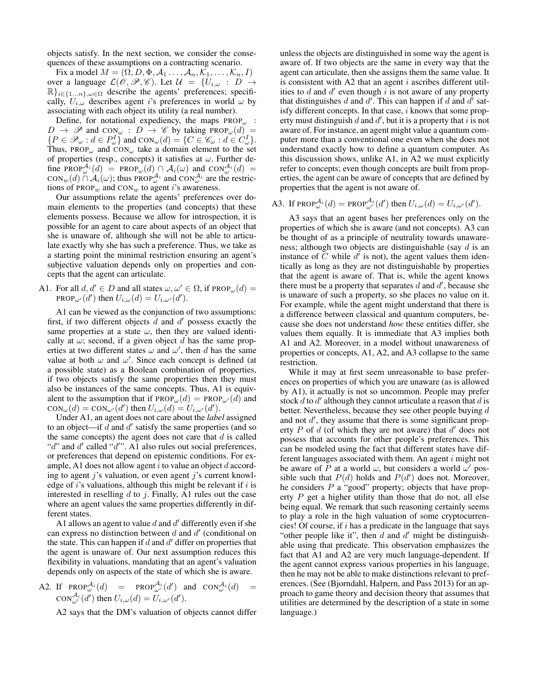objects satisfy. In the next section, we consider the consequences of these assumptions on a contracting scenario.

Fix a model  $M = (\Omega, D, \Phi, \mathcal{A}_1, \dots, \mathcal{A}_n, \mathcal{K}_1, \dots, \mathcal{K}_n, I)$ over a language  $\mathcal{L}(\hat{\mathcal{O}}, \mathcal{P}, \mathcal{C})$ . Let  $\mathcal{U} = \{U_{i,\omega} : D \to \mathcal{C}\}$  $\mathbb{R}\}_{i\in\{1...n\},\omega\in\Omega}$  describe the agents' preferences; specifically,  $U_{i,\omega}$  describes agent i's preferences in world  $\omega$  by associating with each object its utility (a real number).

Define, for notational expediency, the maps  $PROP<sub>\omega</sub>$ :  $D \rightarrow \mathscr{P}$  and CON<sub> $\omega$ </sub>:  $D \rightarrow \mathscr{C}$  by taking PROP<sub> $\omega$ </sub>(d) =  $\{P \in \mathcal{P}_{\omega} : d \in P_{\omega}^I\}$  and  $con_{\omega}(d) = \{C \in \mathcal{C}_{\omega} : d \in C_{\omega}^I\}.$ Thus, PROP<sub> $\omega$ </sub> and CON<sub> $\omega$ </sub> take a domain element to the set of properties (resp., concepts) it satisfies at  $\omega$ . Further define PROP $_{\omega}^{\mathcal{A}_{i}}(d)$  = PROP $_{\omega}(d) \cap \mathcal{A}_{i}(\omega)$  and CON $_{\omega}^{\mathcal{A}_{i}}(d)$  =  $\text{CON}_w(d) \cap \mathcal{A}_i(\omega)$ ; thus PROP $_{\omega}^{\mathcal{A}_i}$  and  $\text{CON}_{\omega}^{\mathcal{A}_i}$  are the restrictions of PROP<sub>w</sub> and CON<sub>w</sub> to agent i's awareness.

Our assumptions relate the agents' preferences over domain elements to the properties (and concepts) that these elements possess. Because we allow for introspection, it is possible for an agent to care about aspects of an object that she is unaware of, although she will not be able to articulate exactly why she has such a preference. Thus, we take as a starting point the minimal restriction ensuring an agent's subjective valuation depends only on properties and concepts that the agent can articulate.

A1. For all 
$$
d, d' \in D
$$
 and all states  $\omega, \omega' \in \Omega$ , if  $\text{PROP}_{\omega}(d) = \text{PROP}_{\omega'}(d')$  then  $U_{i,\omega}(d) = U_{i,\omega'}(d')$ .

A1 can be viewed as the conjunction of two assumptions: first, if two different objects  $\tilde{d}$  and  $d'$  possess exactly the same properties at a state  $\omega$ , then they are valued identically at  $\omega$ ; second, if a given object d has the same properties at two different states  $\omega$  and  $\omega'$ , then d has the same value at both  $\omega$  and  $\omega'$ . Since each concept is defined (at a possible state) as a Boolean combination of properties, if two objects satisfy the same properties then they must also be instances of the same concepts. Thus, A1 is equivalent to the assumption that if  $PROP_{\omega}(d) = PROP_{\omega}(d)$  and  $\text{CON}_{\omega}(d) = \text{CON}_{\omega'}(d')$  then  $U_{i,\omega}(d) = U_{i,\omega'}(d').$ 

Under A1, an agent does not care about the *label* assigned to an object—if  $d$  and  $d'$  satisfy the same properties (and so the same concepts) the agent does not care that  $d$  is called "d" and  $d'$  called " $d''$ ". A1 also rules out social preferences, or preferences that depend on epistemic conditions. For example, A1 does not allow agent  $i$  to value an object  $d$  according to agent j's valuation, or even agent j's current knowledge of  $i$ 's valuations, although this might be relevant if  $i$  is interested in reselling  $d$  to  $i$ . Finally, A1 rules out the case where an agent values the same properties differently in different states.

A1 allows an agent to value  $d$  and  $d'$  differently even if she can express no distinction between  $d$  and  $d'$  (conditional on the state. This can happen if  $d$  and  $d'$  differ on properties that the agent is unaware of. Our next assumption reduces this flexibility in valuations, mandating that an agent's valuation depends only on aspects of the state of which she is aware.

A2. If 
$$
\text{PROP}_{\omega}^{\mathcal{A}_i}(d) = \text{PROP}_{\omega'}^{\mathcal{A}_i}(d')
$$
 and  $\text{CON}_{\omega}^{\mathcal{A}_i}(d) = \text{CON}_{\omega'}^{\mathcal{A}_i}(d')$  then  $U_{i,\omega}(d) = U_{i,\omega'}(d')$ .

A2 says that the DM's valuation of objects cannot differ

unless the objects are distinguished in some way the agent is aware of. If two objects are the same in every way that the agent can articulate, then she assigns them the same value. It is consistent with A2 that an agent  $i$  ascribes different utilities to  $d$  and  $d'$  even though  $i$  is not aware of any property that distinguishes  $d$  and  $d'$ . This can happen if  $d$  and  $d'$  satisfy different concepts. In that case,  $i$  knows that some property must distinguish  $d$  and  $d'$ , but it is a property that  $i$  is not aware of. For instance, an agent might value a quantum computer more than a conventional one even when she does not understand exactly how to define a quantum computer. As this discussion shows, unlike A1, in A2 we must explicitly refer to concepts; even though concepts are built from properties, the agent can be aware of concepts that are defined by properties that the agent is not aware of.

A3. If 
$$
\text{PROP}_{\omega}^{\mathcal{A}_i}(d) = \text{PROP}_{\omega'}^{\mathcal{A}_i}(d')
$$
 then  $U_{i,\omega}(d) = U_{i,\omega'}(d').$ 

A3 says that an agent bases her preferences only on the properties of which she is aware (and not concepts). A3 can be thought of as a principle of neutrality towards unawareness; although two objects are distinguishable (say  $d$  is an instance of  $\tilde{C}$  while  $d^{\tilde{U}}$  is not), the agent values them identically as long as they are not distinguishable by properties that the agent is aware of. That is, while the agent knows there must be a property that separates  $d$  and  $d'$ , because she is unaware of such a property, so she places no value on it. For example, while the agent might understand that there is a difference between classical and quantum computers, because she does not understand *how* these entities differ, she values them equally. It is immediate that A3 implies both A1 and A2. Moreover, in a model without unawareness of properties or concepts, A1, A2, and A3 collapse to the same restriction.

While it may at first seem unreasonable to base preferences on properties of which you are unaware (as is allowed by A1), it actually is not so uncommon. People may prefer stock  $d$  to  $d'$  although they cannot articulate a reason that  $d$  is better. Nevertheless, because they see other people buying d and not  $d'$ , they assume that there is some significant property  $P$  of  $d$  (of which they are not aware) that  $d'$  does not possess that accounts for other people's preferences. This can be modeled using the fact that different states have different languages associated with them. An agent  $i$  might not be aware of P at a world  $\omega$ , but considers a world  $\omega'$  possible such that  $P(d)$  holds and  $P(d')$  does not. Moreover, he considers  $P$  a "good" property; objects that have property  $P$  get a higher utility than those that do not, all else being equal. We remark that such reasoning certainly seems to play a role in the high valuation of some cryptocurrencies! Of course, if  $i$  has a predicate in the language that says "other people like it", then  $d$  and  $d'$  might be distinguishable using that predicate. This observation emphasizes the fact that A1 and A2 are very much language-dependent. If the agent cannot express various properties in his language, then he may not be able to make distinctions relevant to preferences. (See (Bjorndahl, Halpern, and Pass 2013) for an approach to game theory and decision theory that assumes that utilities are determined by the description of a state in some language.)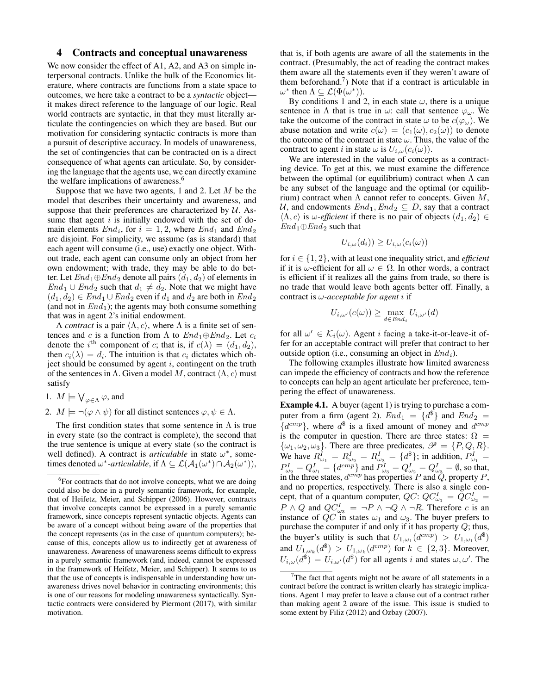# 4 Contracts and conceptual unawareness

We now consider the effect of A1, A2, and A3 on simple interpersonal contracts. Unlike the bulk of the Economics literature, where contracts are functions from a state space to outcomes, we here take a contract to be a *syntactic* object it makes direct reference to the language of our logic. Real world contracts are syntactic, in that they must literally articulate the contingencies on which they are based. But our motivation for considering syntactic contracts is more than a pursuit of descriptive accuracy. In models of unawareness, the set of contingencies that can be contracted on is a direct consequence of what agents can articulate. So, by considering the language that the agents use, we can directly examine the welfare implications of awareness.<sup>6</sup>

Suppose that we have two agents, 1 and 2. Let  $M$  be the model that describes their uncertainty and awareness, and suppose that their preferences are characterized by  $U$ . Assume that agent  $i$  is initially endowed with the set of domain elements  $End_i$ , for  $i = 1, 2$ , where  $End_1$  and  $End_2$ are disjoint. For simplicity, we assume (as is standard) that each agent will consume (i.e., use) exactly one object. Without trade, each agent can consume only an object from her own endowment; with trade, they may be able to do better. Let  $End_1 \oplus End_2$  denote all pairs  $(d_1, d_2)$  of elements in  $End_1 \cup End_2$  such that  $d_1 \neq d_2$ . Note that we might have  $(d_1, d_2) \in End_1 \cup End_2$  even if  $d_1$  and  $d_2$  are both in  $End_2$ (and not in  $End_1$ ); the agents may both consume something that was in agent 2's initial endowment.

A *contract* is a pair  $\langle \Lambda, c \rangle$ , where  $\Lambda$  is a finite set of sentences and c is a function from Λ to  $End_1 \oplus End_2$ . Let  $c_i$ denote the *i*<sup>th</sup> component of *c*; that is, if  $c(\lambda) = (d_1, d_2)$ , then  $c_i(\lambda) = d_i$ . The intuition is that  $c_i$  dictates which object should be consumed by agent  $i$ , contingent on the truth of the sentences in  $\Lambda$ . Given a model M, contract  $\langle \Lambda, c \rangle$  must satisfy

- 1.  $M \models \bigvee_{\varphi \in \Lambda} \varphi$ , and
- 2.  $M \models \neg(\varphi \land \psi)$  for all distinct sentences  $\varphi, \psi \in \Lambda$ .

The first condition states that some sentence in  $\Lambda$  is true in every state (so the contract is complete), the second that the true sentence is unique at every state (so the contract is well defined). A contract is *articulable* in state  $\omega^*$ , sometimes denoted  $\omega^*$ -*articulable*, if  $\Lambda \subseteq \mathcal{L}(\mathcal{A}_1(\omega^*) \cap \mathcal{A}_2(\omega^*))$ ,

that is, if both agents are aware of all the statements in the contract. (Presumably, the act of reading the contract makes them aware all the statements even if they weren't aware of them beforehand.<sup>7</sup> ) Note that if a contract is articulable in  $\omega^*$  then  $\Lambda \subseteq \mathcal{L}(\Phi(\omega^*))$ .

By conditions 1 and 2, in each state  $\omega$ , there is a unique sentence in  $\Lambda$  that is true in  $\omega$ : call that sentence  $\varphi_{\omega}$ . We take the outcome of the contract in state  $\omega$  to be  $c(\varphi_{\omega})$ . We abuse notation and write  $c(\omega) = (c_1(\omega), c_2(\omega))$  to denote the outcome of the contract in state  $\omega$ . Thus, the value of the contract to agent i in state  $\omega$  is  $U_{i,\omega}(c_i(\omega))$ .

We are interested in the value of concepts as a contracting device. To get at this, we must examine the difference between the optimal (or equilibrium) contract when  $\Lambda$  can be any subset of the language and the optimal (or equilibrium) contract when  $\Lambda$  cannot refer to concepts. Given  $M$ , U, and endowments  $End_1, End_2 \subseteq D$ , say that a contract  $\langle \Lambda, c \rangle$  is  $\omega$ -*efficient* if there is no pair of objects  $(d_1, d_2) \in$  $End_1 \oplus End_2$  such that

$$
U_{i,\omega}(d_i)) \ge U_{i,\omega}(c_i(\omega))
$$

for  $i \in \{1, 2\}$ , with at least one inequality strict, and *efficient* if it is  $\omega$ -efficient for all  $\omega \in \Omega$ . In other words, a contract is efficient if it realizes all the gains from trade, so there is no trade that would leave both agents better off. Finally, a contract is ω*-acceptable for agent* i if

$$
U_{i,\omega'}(c(\omega)) \ge \max_{d \in End_i} U_{i,\omega'}(d)
$$

for all  $\omega' \in \mathcal{K}_i(\omega)$ . Agent *i* facing a take-it-or-leave-it offer for an acceptable contract will prefer that contract to her outside option (i.e., consuming an object in  $End_i$ ).

The following examples illustrate how limited awareness can impede the efficiency of contracts and how the reference to concepts can help an agent articulate her preference, tempering the effect of unawareness.

Example 4.1. A buyer (agent 1) is trying to purchase a computer from a firm (agent 2).  $End_1 = \{d^{\$}\}\$ and  $End_2 =$  ${d^{cmp}}$ , where  $d^$$  is a fixed amount of money and  $d^{cmp}$ is the computer in question. There are three states:  $\Omega =$  $\{\omega_1, \omega_2, \omega_3\}$ . There are three predicates,  $\mathscr{P} = \{P, Q, R\}$ . We have  $R_{\omega_1}^I = R_{\omega_2}^I = R_{\omega_3}^I = \{d^{\$}\};$  in addition,  $P_{\omega_1}^I =$  $P^I_{\omega_2} = Q^I_{\omega_1} = \{d^{cmp}\}$  and  $P^I_{\omega_3} = Q^I_{\omega_2} = Q^I_{\omega_3} = \emptyset$ , so that, in the three states,  $d^{cmp}$  has properties P and  $\ddot{Q}$ , property P, and no properties, respectively. There is also a single concept, that of a quantum computer,  $QC: QC_{\omega_1}^I = \overline{QC}_{\omega_2}^I =$  $P \wedge Q$  and  $QC_{\omega_3}^I = \neg P \wedge \neg Q \wedge \neg R$ . Therefore c is an instance of  $QC$  in states  $\omega_1$  and  $\omega_3$ . The buyer prefers to purchase the computer if and only if it has property  $Q$ ; thus, the buyer's utility is such that  $U_{1,\omega_1}(d^{cmp}) > U_{1,\omega_1}(d^{\$})$ and  $U_{1,\omega_k}(d^{\$}) > U_{1,\omega_k}(d^{cmp})$  for  $k \in \{2,3\}$ . Moreover,  $U_{i,\omega}(d^{s}) = U_{i,\omega'}(d^{s})$  for all agents i and states  $\omega, \omega'$ . The

<sup>&</sup>lt;sup>6</sup>For contracts that do not involve concepts, what we are doing could also be done in a purely semantic framework, for example, that of Heifetz, Meier, and Schipper (2006). However, contracts that involve concepts cannot be expressed in a purely semantic framework, since concepts represent syntactic objects. Agents can be aware of a concept without being aware of the properties that the concept represents (as in the case of quantum computers); because of this, concepts allow us to indirectly get at awareness of unawareness. Awareness of unawareness seems difficult to express in a purely semantic framework (and, indeed, cannot be expressed in the framework of Heifetz, Meier, and Schipper). It seems to us that the use of concepts is indispensable in understanding how unawareness drives novel behavior in contracting environments; this is one of our reasons for modeling unawareness syntactically. Syntactic contracts were considered by Piermont (2017), with similar motivation.

 $7$ The fact that agents might not be aware of all statements in a contract before the contract is written clearly has strategic implications. Agent 1 may prefer to leave a clause out of a contract rather than making agent 2 aware of the issue. This issue is studied to some extent by Filiz (2012) and Ozbay (2007).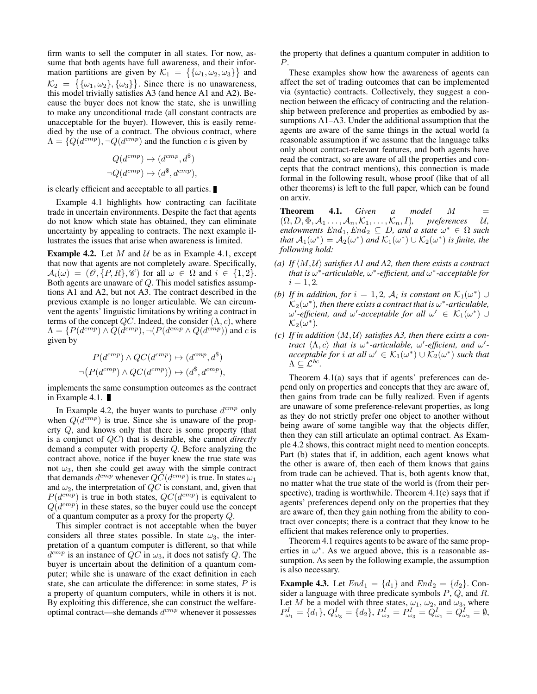firm wants to sell the computer in all states. For now, assume that both agents have full awareness, and their information partitions are given by  $\mathcal{K}_1 = \{ \{\omega_1, \omega_2, \omega_3\} \}$  and  $\mathcal{K}_2 = \{\{\omega_1, \omega_2\}, \{\omega_3\}\}\.$  Since there is no unawareness, this model trivially satisfies A3 (and hence A1 and A2). Because the buyer does not know the state, she is unwilling to make any unconditional trade (all constant contracts are unacceptable for the buyer). However, this is easily remedied by the use of a contract. The obvious contract, where  $\Lambda = \{Q(d^{cmp})$ ,  $\neg Q(d^{cmp})$  and the function c is given by

$$
Q(d^{cmp}) \mapsto (d^{cmp}, d^{\$})
$$
  

$$
\neg Q(d^{cmp}) \mapsto (d^{\$}, d^{cmp}),
$$

is clearly efficient and acceptable to all parties.

Example 4.1 highlights how contracting can facilitate trade in uncertain environments. Despite the fact that agents do not know which state has obtained, they can eliminate uncertainty by appealing to contracts. The next example illustrates the issues that arise when awareness is limited.

**Example 4.2.** Let M and U be as in Example 4.1, except that now that agents are not completely aware. Specifically,  $\mathcal{A}_i(\omega) = (\mathcal{O}, \{P, R\}, \mathcal{C})$  for all  $\omega \in \Omega$  and  $i \in \{1, 2\}.$ Both agents are unaware of Q. This model satisfies assumptions A1 and A2, but not A3. The contract described in the previous example is no longer articulable. We can circumvent the agents' linguistic limitations by writing a contract in terms of the concept  $QC$ . Indeed, the consider  $(\Lambda, c)$ , where  $\Lambda = \{P(d^{cmp}) \wedge \overline{Q(d^{cmp})}, \neg (P(d^{cmp} \wedge Q(d^{cmp}))$  and c is given by

$$
P(d^{cmp}) \land QC(d^{cmp}) \mapsto (d^{cmp}, d^{\$})
$$
  

$$
\neg (P(d^{cmp}) \land QC(d^{cmp})) \mapsto (d^{\$}, d^{cmp}),
$$

implements the same consumption outcomes as the contract in Example 4.1.

In Example 4.2, the buyer wants to purchase  $d^{cmp}$  only when  $Q(d^{cmp})$  is true. Since she is unaware of the property Q, and knows only that there is some property (that is a conjunct of QC) that is desirable, she cannot *directly* demand a computer with property Q. Before analyzing the contract above, notice if the buyer knew the true state was not  $\omega_3$ , then she could get away with the simple contract that demands  $d^{cmp}$  whenever  $QC(d^{cmp})$  is true. In states  $\omega_1$ and  $\omega_2$ , the interpretation of  $QC$  is constant, and, given that  $P(d^{cmp})$  is true in both states,  $QC(d^{cmp})$  is equivalent to  $Q(d^{cmp})$  in these states, so the buyer could use the concept of a quantum computer as a proxy for the property Q.

This simpler contract is not acceptable when the buyer considers all three states possible. In state  $\omega_3$ , the interpretation of a quantum computer is different, so that while  $d^{cmp}$  is an instance of  $QC$  in  $\omega_3$ , it does not satisfy Q. The buyer is uncertain about the definition of a quantum computer; while she is unaware of the exact definition in each state, she can articulate the difference: in some states,  $P$  is a property of quantum computers, while in others it is not. By exploiting this difference, she can construct the welfareoptimal contract—she demands  $d^{cmp}$  whenever it possesses

the property that defines a quantum computer in addition to P.

These examples show how the awareness of agents can affect the set of trading outcomes that can be implemented via (syntactic) contracts. Collectively, they suggest a connection between the efficacy of contracting and the relationship between preference and properties as embodied by assumptions A1–A3. Under the additional assumption that the agents are aware of the same things in the actual world (a reasonable assumption if we assume that the language talks only about contract-relevant features, and both agents have read the contract, so are aware of all the properties and concepts that the contract mentions), this connection is made formal in the following result, whose proof (like that of all other theorems) is left to the full paper, which can be found on arxiv.

**Theorem 4.1.** *Given a model M*  $=$  $(\Omega, D, \Phi, \mathcal{A}_1, \ldots, \mathcal{A}_n, \mathcal{K}_1, \ldots, \mathcal{K}_n, I)$ , preferences U,  $\mathit{endownents}\;End_1, \mathit{End}_2\;\subseteq\;D, \textit{and}\;a\;\mathit{state}\;\omega^*\;\in\;\Omega\;\mathit{such}$ *that*  $A_1(\omega^*) = A_2(\omega^*)$  *and*  $\mathcal{K}_1(\omega^*) \cup \mathcal{K}_2(\omega^*)$  *is finite, the following hold:*

- *(a)* If  $\langle M, U \rangle$  *satisfies A1 and A2, then there exists a contract that is* ω ∗ *-articulable,* ω ∗ *-efficient, and* ω ∗ *-acceptable for*  $i = 1, 2.$
- *(b)* If in addition, for  $i = 1, 2, \mathcal{A}_i$  is constant on  $\mathcal{K}_1(\omega^*) \cup$  $\mathcal{K}_2(\omega^*)$ , then there exists a contract that is  $\omega^*$ -articulable,  $\omega'$ -efficient, and  $\omega'$ -acceptable for all  $\omega' \in \mathcal{K}_1(\omega^*) \cup$  $\mathcal{K}_{2}(\omega^{\ast}).$
- *(c)* If in addition  $\langle M, U \rangle$  satisfies A3, then there exists a con*tract*  $\langle \Lambda, c \rangle$  *that is*  $\omega^*$ -*articulable,*  $\omega'$ -*efficient, and*  $\omega'$ *acceptable for i at all*  $\omega' \in \mathcal{K}_1(\omega^*) \cup \mathcal{K}_2(\omega^*)$  *such that*  $\Lambda \subseteq \mathcal{L}^{bc}.$

Theorem 4.1(a) says that if agents' preferences can depend only on properties and concepts that they are aware of, then gains from trade can be fully realized. Even if agents are unaware of some preference-relevant properties, as long as they do not strictly prefer one object to another without being aware of some tangible way that the objects differ, then they can still articulate an optimal contract. As Example 4.2 shows, this contract might need to mention concepts. Part (b) states that if, in addition, each agent knows what the other is aware of, then each of them knows that gains from trade can be achieved. That is, both agents know that, no matter what the true state of the world is (from their perspective), trading is worthwhile. Theorem 4.1(c) says that if agents' preferences depend only on the properties that they are aware of, then they gain nothing from the ability to contract over concepts; there is a contract that they know to be efficient that makes reference only to properties.

Theorem 4.1 requires agents to be aware of the same properties in  $\omega^*$ . As we argued above, this is a reasonable assumption. As seen by the following example, the assumption is also necessary.

**Example 4.3.** Let  $End_1 = \{d_1\}$  and  $End_2 = \{d_2\}$ . Consider a language with three predicate symbols  $P$ ,  $Q$ , and  $R$ . Let M be a model with three states,  $\omega_1$ ,  $\omega_2$ , and  $\omega_3$ , where  $P^I_{\omega_1} = \{d_1\}, Q^I_{\omega_3} = \{d_2\}, P^I_{\omega_2} = P^I_{\omega_3} = Q^I_{\omega_1} = Q^I_{\omega_2} = \emptyset$ ,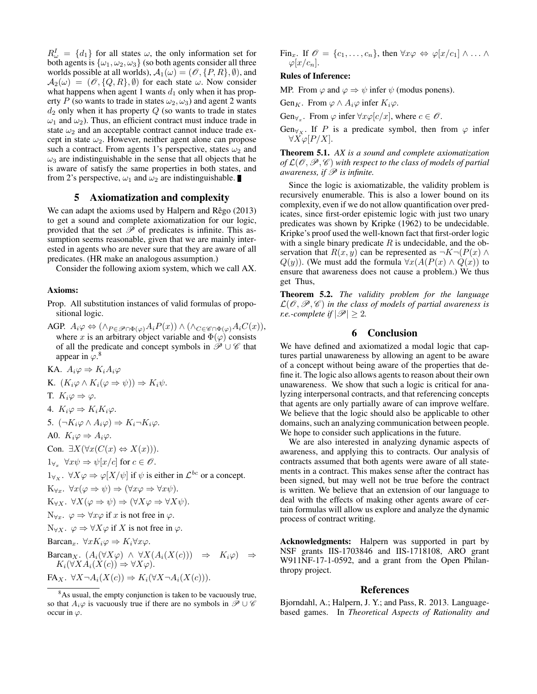$R^I_{\omega} = \{d_1\}$  for all states  $\omega$ , the only information set for both agents is  $\{\omega_1, \omega_2, \omega_3\}$  (so both agents consider all three worlds possible at all worlds),  $A_1(\omega) = (\mathcal{O}, \{P, R\}, \emptyset)$ , and  $\mathcal{A}_2(\omega) = (\mathcal{O}, \{Q, R\}, \emptyset)$  for each state  $\omega$ . Now consider what happens when agent 1 wants  $d_1$  only when it has property P (so wants to trade in states  $\omega_2, \omega_3$ ) and agent 2 wants  $d_2$  only when it has property  $Q$  (so wants to trade in states  $\omega_1$  and  $\omega_2$ ). Thus, an efficient contract must induce trade in state  $\omega_2$  and an acceptable contract cannot induce trade except in state  $\omega_2$ . However, neither agent alone can propose such a contract. From agents 1's perspective, states  $\omega_2$  and  $\omega_3$  are indistinguishable in the sense that all objects that he is aware of satisfy the same properties in both states, and from 2's perspective,  $\omega_1$  and  $\omega_2$  are indistinguishable.

# 5 Axiomatization and complexity

We can adapt the axioms used by Halpern and  $\mathsf{Régo}\left(2013\right)$ to get a sound and complete axiomatization for our logic, provided that the set  $\mathscr P$  of predicates is infinite. This assumption seems reasonable, given that we are mainly interested in agents who are never sure that they are aware of all predicates. (HR make an analogous assumption.)

Consider the following axiom system, which we call AX.

#### Axioms:

Prop. All substitution instances of valid formulas of propositional logic.

AGP.  $A_i\varphi \Leftrightarrow (\wedge_{P\in\mathscr{P}\cap\Phi(\varphi)}A_iP(x))\wedge(\wedge_{C\in\mathscr{C}\cap\Phi(\varphi)}A_iC(x)),$ where x is an arbitrary object variable and  $\Phi(\varphi)$  consists of all the predicate and concept symbols in  $\mathscr{P} \cup \mathscr{C}$  that appear in  $\varphi$ .<sup>8</sup>

KA.  $A_i \varphi \Rightarrow K_i A_i \varphi$ K.  $(K_i\varphi \wedge K_i(\varphi \Rightarrow \psi)) \Rightarrow K_i\psi$ . T.  $K_i\varphi \Rightarrow \varphi$ . 4.  $K_i \varphi \Rightarrow K_i K_i \varphi$ . 5.  $(\neg K_i \varphi \land A_i \varphi) \Rightarrow K_i \neg K_i \varphi$ . A0.  $K_i \varphi \Rightarrow A_i \varphi$ . Con.  $\exists X(\forall x(C(x) \Leftrightarrow X(x)))$ .  $1_{\forall x} \forall x \psi \Rightarrow \psi[x/c]$  for  $c \in \mathscr{O}$ .  $1_{\forall x}$ .  $\forall X \varphi \Rightarrow \varphi[X/\psi]$  if  $\psi$  is either in  $\mathcal{L}^{bc}$  or a concept.  $\mathbf{K}_{\forall x}$ .  $\forall x(\varphi \Rightarrow \psi) \Rightarrow (\forall x \varphi \Rightarrow \forall x \psi)$ .  $K_{\forall X}$ .  $\forall X(\varphi \Rightarrow \psi) \Rightarrow (\forall X \varphi \Rightarrow \forall X \psi)$ .  $N_{\forall x}$ .  $\varphi \Rightarrow \forall x \varphi$  if x is not free in  $\varphi$ .  $N_{\forall X}$ .  $\varphi \Rightarrow \forall X \varphi$  if X is not free in  $\varphi$ . Barcan<sub>r</sub>.  $\forall x K_i \varphi \Rightarrow K_i \forall x \varphi$ . Barcan<sub>X</sub>.  $(A_i(\forall X\varphi) \land \forall X(A_i(X(c))) \Rightarrow K_i\varphi) \Rightarrow$  $K_i(\forall X A_i(X(c)) \Rightarrow \forall X \varphi).$ FA<sub>X</sub>.  $\forall X \neg A_i(X(c)) \Rightarrow K_i(\forall X \neg A_i(X(c))).$ 

$$
\text{Fin}_x. \text{ If } \mathscr{O} = \{c_1, \ldots, c_n\}, \text{ then } \forall x \varphi \Leftrightarrow \varphi[x/c_1] \wedge \ldots \wedge \varphi[x/c_n].
$$

### Rules of Inference:

MP. From  $\varphi$  and  $\varphi \Rightarrow \psi$  infer  $\psi$  (modus ponens).

Gen<sub>K</sub>. From  $\varphi \wedge A_i \varphi$  infer  $K_i \varphi$ .

Gen<sub> $\forall_x$ </sub>. From  $\varphi$  infer  $\forall x \varphi[c/x]$ , where  $c \in \mathscr{O}$ .

Gen<sub> $\forall$ x</sub>. If P is a predicate symbol, then from  $\varphi$  infer  $\forall X \varphi [P/X].$ 

Theorem 5.1. *AX is a sound and complete axiomatization of*  $\mathcal{L}(\mathcal{O}, \mathcal{P}, \mathcal{C})$  *with respect to the class of models of partial awareness, if*  $\mathcal P$  *is infinite.* 

Since the logic is axiomatizable, the validity problem is recursively enumerable. This is also a lower bound on its complexity, even if we do not allow quantification over predicates, since first-order epistemic logic with just two unary predicates was shown by Kripke (1962) to be undecidable. Kripke's proof used the well-known fact that first-order logic with a single binary predicate  $R$  is undecidable, and the observation that  $R(x, y)$  can be represented as  $\neg K \neg (P(x) \land P(y))$  $Q(y)$ ). (We must add the formula  $\forall x(A(P(x) \land Q(x)))$  to ensure that awareness does not cause a problem.) We thus get Thus,

Theorem 5.2. *The validity problem for the language*  $\mathcal{L}(\mathcal{O},\mathcal{P},\mathcal{C})$  *in the class of models of partial awareness is r.e.*-complete if  $|\mathscr{P}| \geq 2$ .

# 6 Conclusion

We have defined and axiomatized a modal logic that captures partial unawareness by allowing an agent to be aware of a concept without being aware of the properties that define it. The logic also allows agents to reason about their own unawareness. We show that such a logic is critical for analyzing interpersonal contracts, and that referencing concepts that agents are only partially aware of can improve welfare. We believe that the logic should also be applicable to other domains, such an analyzing communication between people. We hope to consider such applications in the future.

We are also interested in analyzing dynamic aspects of awareness, and applying this to contracts. Our analysis of contracts assumed that both agents were aware of all statements in a contract. This makes sense after the contract has been signed, but may well not be true before the contract is written. We believe that an extension of our language to deal with the effects of making other agents aware of certain formulas will allow us explore and analyze the dynamic process of contract writing.

Acknowledgments: Halpern was supported in part by NSF grants IIS-1703846 and IIS-1718108, ARO grant W911NF-17-1-0592, and a grant from the Open Philanthropy project.

### References

Bjorndahl, A.; Halpern, J. Y.; and Pass, R. 2013. Languagebased games. In *Theoretical Aspects of Rationality and*

<sup>&</sup>lt;sup>8</sup>As usual, the empty conjunction is taken to be vacuously true. so that  $A_i\varphi$  is vacuously true if there are no symbols in  $\mathscr{P} \cup \mathscr{C}$ occur in  $\varphi$ .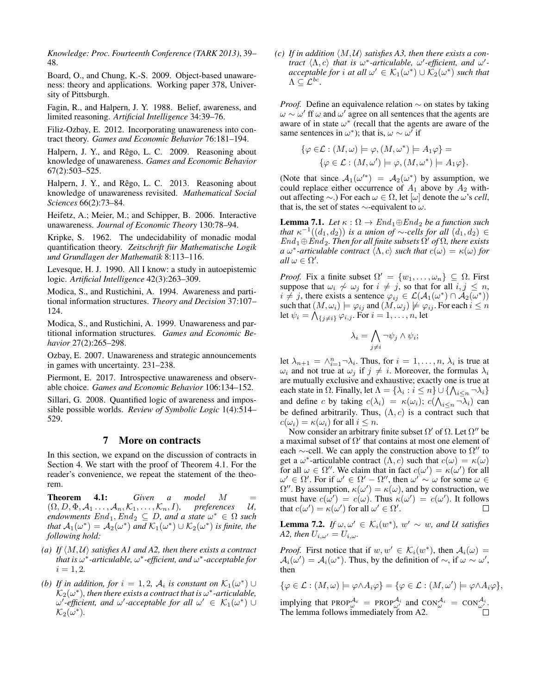*Knowledge: Proc. Fourteenth Conference (TARK 2013)*, 39– 48.

Board, O., and Chung, K.-S. 2009. Object-based unawareness: theory and applications. Working paper 378, University of Pittsburgh.

Fagin, R., and Halpern, J. Y. 1988. Belief, awareness, and limited reasoning. *Artificial Intelligence* 34:39–76.

Filiz-Ozbay, E. 2012. Incorporating unawareness into contract theory. *Games and Economic Behavior* 76:181–194.

Halpern, J. Y., and Rêgo, L. C. 2009. Reasoning about knowledge of unawareness. *Games and Economic Behavior* 67(2):503–525.

Halpern, J. Y., and Rêgo, L. C. 2013. Reasoning about knowledge of unawareness revisited. *Mathematical Social Sciences* 66(2):73–84.

Heifetz, A.; Meier, M.; and Schipper, B. 2006. Interactive unawareness. *Journal of Economic Theory* 130:78–94.

Kripke, S. 1962. The undecidability of monadic modal quantification theory. *Zeitschrift fur Mathematische Logik ¨ und Grundlagen der Mathematik* 8:113–116.

Levesque, H. J. 1990. All I know: a study in autoepistemic logic. *Artificial Intelligence* 42(3):263–309.

Modica, S., and Rustichini, A. 1994. Awareness and partitional information structures. *Theory and Decision* 37:107– 124.

Modica, S., and Rustichini, A. 1999. Unawareness and partitional information structures. *Games and Economic Behavior* 27(2):265–298.

Ozbay, E. 2007. Unawareness and strategic announcements in games with uncertainty. 231–238.

Piermont, E. 2017. Introspective unawareness and observable choice. *Games and Economic Behavior* 106:134–152.

Sillari, G. 2008. Quantified logic of awareness and impossible possible worlds. *Review of Symbolic Logic* 1(4):514– 529.

# 7 More on contracts

In this section, we expand on the discussion of contracts in Section 4. We start with the proof of Theorem 4.1. For the reader's convenience, we repeat the statement of the theorem.

Theorem 4.1: *Given a model* M =  $(\Omega, D, \Phi, \mathcal{A}_1, \ldots, \mathcal{A}_n, \mathcal{K}_1, \ldots, \mathcal{K}_n, I)$ , preferences U,  $\mathit{endownents}\;End_1, \mathit{End}_2\;\subseteq\;D, \text{ and a state}\;\omega^*\;\in\;\Omega\;\mathit{such}$ *that*  $A_1(\omega^*) = A_2(\omega^*)$  *and*  $\mathcal{K}_1(\omega^*) \cup \mathcal{K}_2(\omega^*)$  *is finite, the following hold:*

- *(a)* If  $\langle M, U \rangle$  *satisfies A1 and A2, then there exists a contract that is* ω ∗ *-articulable,* ω ∗ *-efficient, and* ω ∗ *-acceptable for*  $i = 1, 2.$
- *(b)* If in addition, for  $i = 1, 2, \mathcal{A}_i$  is constant on  $\mathcal{K}_1(\omega^*) \cup$  $\mathcal{K}_2(\omega^*)$ , then there exists a contract that is  $\omega^*$ -articulable,  $\omega'$ -efficient, and  $\omega'$ -acceptable for all  $\omega' \in \mathcal{K}_1(\omega^*)$   $\cup$  $\mathcal{K}_2(\omega^*).$

*(c)* If in addition  $\langle M, U \rangle$  satisfies A3, then there exists a con*tract*  $\langle \Lambda, c \rangle$  *that is*  $\omega^*$ -*articulable,*  $\omega'$ -*efficient, and*  $\omega'$ *acceptable for i at all*  $\omega' \in \mathcal{K}_1(\omega^*) \cup \mathcal{K}_2(\omega^*)$  *such that*  $\Lambda \subseteq \mathcal{L}^{bc}.$ 

*Proof.* Define an equivalence relation ∼ on states by taking  $\omega \sim \omega'$  ff  $\omega$  and  $\omega'$  agree on all sentences that the agents are aware of in state  $\omega^*$  (recall that the agents are aware of the same sentences in  $\omega^*$ ); that is,  $\omega \sim \omega'$  if

$$
\{\varphi \in \mathcal{L} : (M, \omega) \models \varphi, (M, \omega^*) \models A_1 \varphi\} =
$$
  

$$
\{\varphi \in \mathcal{L} : (M, \omega') \models \varphi, (M, \omega^*) \models A_1 \varphi\}.
$$

(Note that since  $A_1(\omega'^*) = A_2(\omega^*)$  by assumption, we could replace either occurrence of  $A_1$  above by  $A_2$  without affecting ∼.) For each ω ∈ Ω, let [ω] denote the ω's *cell*, that is, the set of states  $\sim$ -equivalent to  $\omega$ .

**Lemma 7.1.** *Let*  $\kappa : \Omega \to \text{End}_1 \oplus \text{End}_2$  *be a function such that*  $\kappa^{-1}((d_1, d_2))$  *is a union of* ∼*-cells for all*  $(d_1, d_2) \in$  $End_1 \oplus End_2$ . Then for all finite subsets  $\Omega'$  of  $\Omega$ , there exists *a*  $\omega^*$ -articulable contract  $\langle \Lambda, c \rangle$  such that  $c(\omega) = \kappa(\omega)$  for  $all \omega \in \Omega'.$ 

*Proof.* Fix a finite subset  $\Omega' = \{w_1, \ldots, \omega_n\} \subseteq \Omega$ . First suppose that  $\omega_i \nsim \omega_j$  for  $i \neq j$ , so that for all  $i, j \leq n$ ,  $i \neq j$ , there exists a sentence  $\varphi_{ij} \in \mathcal{L}(\mathcal{A}_1(\omega^*) \cap \mathcal{A}_2(\omega^*))$ such that  $(M, \omega_i) \models \varphi_{ij}$  and  $(M, \omega_j) \not\models \varphi_{ij}$ . For each  $i \leq n$ let  $\psi_i = \bigwedge_{\{j \neq i\}} \varphi_{i,j}$ . For  $i = 1, \ldots, n$ , let

$$
\lambda_i = \bigwedge_{j \neq i} \neg \psi_j \land \psi_i;
$$

let  $\lambda_{n+1} = \wedge_{i=1}^{n} \neg \lambda_i$ . Thus, for  $i = 1, \dots, n$ ,  $\lambda_i$  is true at  $\omega_i$  and not true at  $\omega_j$  if  $j \neq i$ . Moreover, the formulas  $\lambda_i$ are mutually exclusive and exhaustive; exactly one is true at each state in  $\Omega$ . Finally, let  $\Lambda = \{\lambda_i : i \leq n\} \cup \{\bigwedge_{i \leq n} \neg \lambda_i\}$ and define c by taking  $c(\lambda_i) = \kappa(\omega_i)$ ;  $c(\Lambda_{i \le n} \neg \lambda_i)$  can be defined arbitrarily. Thus,  $(\Lambda, c)$  is a contract such that  $c(\omega_i) = \kappa(\omega_i)$  for all  $i \leq n$ .

Now consider an arbitrary finite subset  $\Omega'$  of  $\Omega$ . Let  $\Omega''$  be a maximal subset of  $\Omega'$  that contains at most one element of each  $\sim$ -cell. We can apply the construction above to  $\Omega''$  to get a  $\omega^*$ -articulable contract  $(\Lambda, c)$  such that  $c(\omega) = \kappa(\omega)$ for all  $\omega \in \Omega''$ . We claim that in fact  $c(\omega') = \kappa(\omega')$  for all  $\omega' \in \Omega'$ . For if  $\omega' \in \Omega' - \Omega''$ , then  $\omega' \sim \omega$  for some  $\omega \in$  $\Omega''$ . By assumption,  $\kappa(\omega') = \kappa(\omega)$ , and by construction, we must have  $c(\omega') = c(\omega)$ . Thus  $\kappa(\omega') = c(\omega')$ . It follows that  $c(\omega') = \kappa(\omega')$  for all  $\omega' \in \Omega'$ . П

**Lemma 7.2.** If  $\omega, \omega' \in \mathcal{K}_i(w^*)$ ,  $w' \sim w$ , and U satisfies *A2, then*  $U_{i,\omega'} = U_{i,\omega}$ .

*Proof.* First notice that if  $w, w' \in K_i(w^*)$ , then  $A_i(\omega) =$  $A_i(\omega') = A_i(\omega^*)$ . Thus, by the definition of  $\sim$ , if  $\omega \sim \omega'$ , then

$$
\{\varphi \in \mathcal{L} : (M,\omega) \models \varphi \wedge A_i \varphi\} = \{\varphi \in \mathcal{L} : (M,\omega') \models \varphi \wedge A_i \varphi\},\
$$

implying that PROP $_{\omega}^{\mathcal{A}_i}$  = PROP $_{\omega'}^{\mathcal{A}_i}$  and CON $_{\omega}^{\mathcal{A}_i}$  = CON $_{\omega'}^{\mathcal{A}_i}$ . The lemma follows immediately from A2.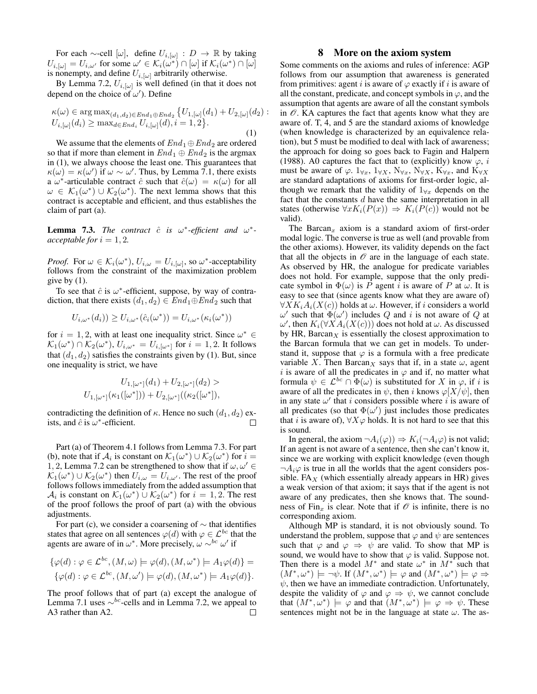For each  $\sim$ -cell  $[\omega]$ , define  $U_{i, [\omega]} : D \to \mathbb{R}$  by taking  $U_{i, [\omega]} = U_{i, \omega'}$  for some  $\omega' \in \mathcal{K}_i(\omega^*) \cap [\omega]$  if  $\mathcal{K}_i(\omega^*) \cap [\omega]$ is nonempty, and define  $U_{i, [\omega]}$  arbitrarily otherwise.

By Lemma 7.2,  $U_{i, [\omega]}$  is well defined (in that it does not depend on the choice of  $\omega'$ ). Define

$$
\kappa(\omega) \in \arg \max_{(d_1, d_2) \in End_1 \oplus End_2} \{ U_{1, [\omega]}(d_1) + U_{2, [\omega]}(d_2) : U_{i, [\omega]}(d_i) \ge \max_{d \in End_i} U_{i, [\omega]}(d), i = 1, 2 \}.
$$
\n(1)

We assume that the elements of  $End_1 \oplus End_2$  are ordered so that if more than element in  $End_1 \oplus End_2$  is the argmax in (1), we always choose the least one. This guarantees that  $\kappa(\omega) = \kappa(\omega')$  if  $\omega \sim \omega'$ . Thus, by Lemma 7.1, there exists a  $\omega^*$ -articulable contract  $\hat{c}$  such that  $\hat{c}(\omega) = \kappa(\omega)$  for all  $\omega \in \mathcal{K}_1(\omega^*) \cup \mathcal{K}_2(\omega^*)$ . The next lemma shows that this contract is acceptable and efficient, and thus establishes the claim of part (a).

**Lemma 7.3.** The contract  $\hat{c}$  is  $\omega^*$ -efficient and  $\omega^*$ *acceptable for*  $i = 1, 2$ *.* 

*Proof.* For  $\omega \in \mathcal{K}_i(\omega^*), U_{i,\omega} = U_{i, [\omega]},$  so  $\omega^*$ -acceptability follows from the constraint of the maximization problem give by  $(1)$ .

To see that  $\hat{c}$  is  $\omega^*$ -efficient, suppose, by way of contradiction, that there exists  $(d_1, d_2) \in End_1 \oplus End_2$  such that

$$
U_{i,\omega^*}(d_i)) \ge U_{i,\omega^*}(\hat{c}_i(\omega^*)) = U_{i,\omega^*}(\kappa_i(\omega^*))
$$

for  $i = 1, 2$ , with at least one inequality strict. Since  $\omega^* \in$  $\mathcal{K}_1(\omega^*) \cap \mathcal{K}_2(\omega^*)$ ,  $U_{i,\omega^*} = U_{i,[\omega^*]}$  for  $i = 1,2$ . It follows that  $(d_1, d_2)$  satisfies the constraints given by (1). But, since one inequality is strict, we have

$$
U_{1,[\omega^*]}(d_1) + U_{2,[\omega^*]}(d_2) >
$$
  

$$
U_{1,[\omega^*]}(\kappa_1([\omega^*])) + U_{2,[\omega^*]}((\kappa_2([\omega^*])),
$$

contradicting the definition of  $\kappa$ . Hence no such  $(d_1, d_2)$  exists, and  $\hat{c}$  is  $\omega^*$ -efficient.  $\Box$ 

Part (a) of Theorem 4.1 follows from Lemma 7.3. For part (b), note that if  $\mathcal{A}_i$  is constant on  $\mathcal{K}_1(\omega^*) \cup \mathcal{K}_2(\omega^*)$  for  $i =$ 1, 2, Lemma 7.2 can be strengthened to show that if  $\omega, \omega' \in$  $\mathcal{K}_1(\omega^*) \cup \mathcal{K}_2(\omega^*)$  then  $U_{i,\omega} = U_{i,\omega'}$ . The rest of the proof follows follows immediately from the added assumption that  $\mathcal{A}_i$  is constant on  $\mathcal{K}_1(\omega^*) \cup \mathcal{K}_2(\omega^*)$  for  $i = 1, 2$ . The rest of the proof follows the proof of part (a) with the obvious adjustments.

For part (c), we consider a coarsening of  $\sim$  that identifies states that agree on all sentences  $\varphi(d)$  with  $\varphi \in \mathcal{L}^{bc}$  that the agents are aware of in  $\omega^*$ . More precisely,  $\omega \sim^{bc} \omega'$  if

$$
\{\varphi(d) : \varphi \in \mathcal{L}^{bc}, (M, \omega) \models \varphi(d), (M, \omega^*) \models A_1 \varphi(d)\} =
$$
  

$$
\{\varphi(d) : \varphi \in \mathcal{L}^{bc}, (M, \omega') \models \varphi(d), (M, \omega^*) \models A_1 \varphi(d)\}.
$$

The proof follows that of part (a) except the analogue of Lemma 7.1 uses  $\sim^{bc}$ -cells and in Lemma 7.2, we appeal to A3 rather than A2.  $\Box$ 

## 8 More on the axiom system

Some comments on the axioms and rules of inference: AGP follows from our assumption that awareness is generated from primitives: agent i is aware of  $\varphi$  exactly if i is aware of all the constant, predicate, and concept symbols in  $\varphi$ , and the assumption that agents are aware of all the constant symbols in  $\mathcal O$ . KA captures the fact that agents know what they are aware of. T, 4, and 5 are the standard axioms of knowledge (when knowledge is characterized by an equivalence relation), but 5 must be modified to deal with lack of awareness; the approach for doing so goes back to Fagin and Halpern (1988). A0 captures the fact that to (explicitly) know  $\varphi$ , i must be aware of  $\varphi$ .  $1_{\forall x}$ ,  $1_{\forall X}$ ,  $N_{\forall x}$ ,  $N_{\forall x}$ ,  $K_{\forall x}$ , and  $K_{\forall X}$ are standard adaptations of axioms for first-order logic, although we remark that the validity of  $1_{\forall x}$  depends on the fact that the constants  $d$  have the same interpretation in all states (otherwise  $\forall x K_i(P(x)) \Rightarrow K_i(P(c))$  would not be valid).

The Barcan<sub>x</sub> axiom is a standard axiom of first-order modal logic. The converse is true as well (and provable from the other axioms). However, its validity depends on the fact that all the objects in  $\mathcal O$  are in the language of each state. As observed by HR, the analogue for predicate variables does not hold. For example, suppose that the only predicate symbol in  $\Phi(\omega)$  is P agent i is aware of P at  $\omega$ . It is easy to see that (since agents know what they are aware of)  $\forall X K_i A_i(X(c))$  holds at  $\omega$ . However, if i considers a world  $ω'$  such that  $Φ(ω')$  includes Q and i is not aware of Q at  $\omega'$ , then  $K_i(\forall X A_i(X(c)))$  does not hold at  $\omega$ . As discussed by HR, Barcan $<sub>X</sub>$  is essentially the closest approximation to</sub> the Barcan formula that we can get in models. To understand it, suppose that  $\varphi$  is a formula with a free predicate variable X. Then Barcan<sub>X</sub> says that if, in a state  $\omega$ , agent i is aware of all the predicates in  $\varphi$  and if, no matter what formula  $\psi \in \mathcal{L}^{bc} \cap \Phi(\omega)$  is substituted for X in  $\varphi$ , if i is aware of all the predicates in  $\psi$ , then i knows  $\varphi$ [X/ $\psi$ ], then in any state  $\omega'$  that i considers possible where i is aware of all predicates (so that  $\Phi(\omega')$  just includes those predicates that i is aware of),  $\forall X \varphi$  holds. It is not hard to see that this is sound.

In general, the axiom  $\neg A_i(\varphi)$   $\Rightarrow$   $K_i(\neg A_i\varphi)$  is not valid; If an agent is not aware of a sentence, then she can't know it, since we are working with explicit knowledge (even though  $\neg A_i \varphi$  is true in all the worlds that the agent considers possible. FA<sub>X</sub> (which essentially already appears in HR) gives a weak version of that axiom; it says that if the agent is not aware of any predicates, then she knows that. The soundness of Fin<sub>x</sub> is clear. Note that if  $\mathcal O$  is infinite, there is no corresponding axiom.

Although MP is standard, it is not obviously sound. To understand the problem, suppose that  $\varphi$  and  $\psi$  are sentences such that  $\varphi$  and  $\varphi \Rightarrow \psi$  are valid. To show that MP is sound, we would have to show that  $\varphi$  is valid. Suppose not. Then there is a model  $M^*$  and state  $\omega^*$  in  $M^*$  such that  $(M^*,\omega^*) \models \neg \psi$ . If  $(M^*,\omega^*) \models \varphi$  and  $(M^*,\omega^*) \models \varphi \Rightarrow$  $\psi$ , then we have an immediate contradiction. Unfortunately, despite the validity of  $\varphi$  and  $\varphi \Rightarrow \psi$ , we cannot conclude that  $(M^*, \omega^*) \models \varphi$  and that  $(M^*, \omega^*) \models \varphi \Rightarrow \psi$ . These sentences might not be in the language at state  $\omega$ . The as-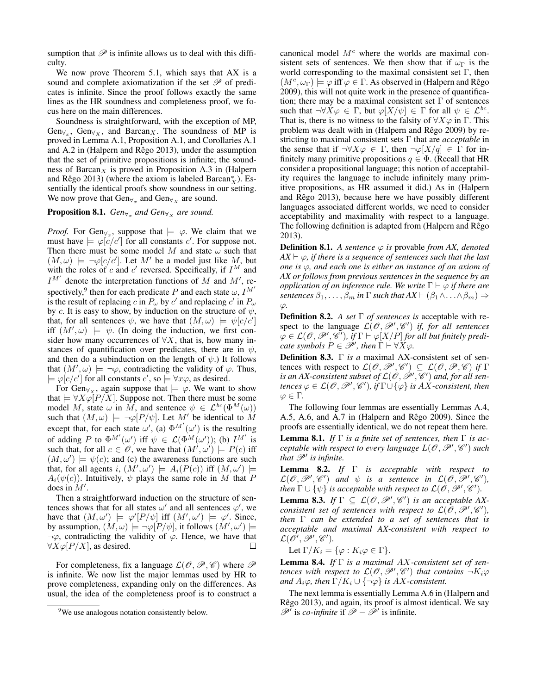sumption that  $\mathscr P$  is infinite allows us to deal with this difficulty.

We now prove Theorem 5.1, which says that AX is a sound and complete axiomatization if the set  $\mathscr P$  of predicates is infinite. Since the proof follows exactly the same lines as the HR soundness and completeness proof, we focus here on the main differences.

Soundness is straightforward, with the exception of MP,  $Gen_{\forall_x}$ ,  $Gen_{\forall_x}$ , and Barcan<sub>X</sub>. The soundness of MP is proved in Lemma A.1, Proposition A.1, and Corollaries A.1 and A.2 in (Halpern and Rêgo 2013), under the assumption that the set of primitive propositions is infinite; the soundness of Barcan $<sub>X</sub>$  is proved in Proposition A.3 in (Halpern</sub> and Rêgo 2013) (where the axiom is labeled Barcan $^*_{X}$ ). Essentially the identical proofs show soundness in our setting. We now prove that  $Gen_{\forall_x}$  and  $Gen_{\forall_x}$  are sound.

**Proposition 8.1.**  $Gen_{\forall_x}$  and  $Gen_{\forall_x}$  are sound.

*Proof.* For Gen<sub> $\forall_x$ </sub>, suppose that  $\models \varphi$ . We claim that we must have  $\models \varphi[c/c']$  for all constants c'. For suppose not. Then there must be some model M and state  $\omega$  such that  $(M, \omega) \models \neg \varphi[c/c']$ . Let M' be a model just like M, but with the roles of c and c' reversed. Specifically, if  $I^M$  and  $I^{M'}$  denote the interpretation functions of M and M', respectively,<sup>9</sup> then for each predicate P and each state  $\omega$ ,  $I^{M'}$ is the result of replacing c in  $P_\omega$  by c' and replacing c' in  $P_\omega$ by c. It is easy to show, by induction on the structure of  $\psi$ , that, for all sentences  $\psi$ , we have that  $(M, \omega) \models \psi[c/c']$ iff  $(M', \omega)$   $\models \psi$ . (In doing the induction, we first consider how many occurrences of  $\forall X$ , that is, how many instances of quantification over predicates, there are in  $\psi$ , and then do a subinduction on the length of  $\psi$ .) It follows that  $(M', \omega) \models \neg \varphi$ , contradicting the validity of  $\varphi$ . Thus,  $\models \varphi[c/c']$  for all constants  $c'$ , so  $\models \forall x\varphi$ , as desired.

For Gen<sub> $\forall$ x</sub>, again suppose that  $\models \varphi$ . We want to show that  $\models \forall X \varphi \left[ P/X \right]$ . Suppose not. Then there must be some model M, state  $\omega$  in M, and sentence  $\psi \in \mathcal{L}^{bc}(\Phi^M(\omega))$ such that  $(M, \omega)$   $\models \neg \varphi[P/\psi]$ . Let M' be identical to M except that, for each state  $\omega'$ , (a)  $\Phi^{M'}(\omega')$  is the resulting of adding P to  $\Phi^{M'}(\omega')$  iff  $\psi \in \mathcal{L}(\Phi^{M}(\omega'))$ ; (b)  $I^{M'}$  is such that, for all  $c \in \mathscr{O}$ , we have that  $(M', \omega') \models P(c)$  iff  $(M, \omega') \models \psi(c)$ ; and (c) the awareness functions are such that, for all agents i,  $(M', \omega') \models A_i(P(c))$  iff  $(M, \omega') \models$  $A_i(\psi(c))$ . Intuitively,  $\psi$  plays the same role in M that P does in  $M'$ .

Then a straightforward induction on the structure of sentences shows that for all states  $\omega'$  and all sentences  $\varphi'$ , we have that  $(M, \omega') \models \varphi'[P/\psi]$  iff  $(M', \omega') \models \varphi'$ . Since, by assumption,  $(M, \omega) \models \neg \varphi[P/\psi]$ , it follows  $(M', \omega') \models$  $\neg \varphi$ , contradicting the validity of  $\varphi$ . Hence, we have that  $\forall X \varphi$ [P/X], as desired. П

For completeness, fix a language  $\mathcal{L}(\mathcal{O}, \mathcal{P}, \mathcal{C})$  where  $\mathcal P$ is infinite. We now list the major lemmas used by HR to prove completeness, expanding only on the differences. As usual, the idea of the completeness proof is to construct a canonical model  $M<sup>c</sup>$  where the worlds are maximal consistent sets of sentences. We then show that if  $\omega_{\Gamma}$  is the world corresponding to the maximal consistent set  $\Gamma$ , then  $(M^c, \omega_\Gamma) \models \varphi$  iff  $\varphi \in \Gamma$ . As observed in (Halpern and Rêgo 2009), this will not quite work in the presence of quantification; there may be a maximal consistent set  $\Gamma$  of sentences such that  $\neg \forall X \varphi \in \Gamma$ , but  $\varphi[X/\psi] \in \Gamma$  for all  $\psi \in \mathcal{L}^{bc}$ . That is, there is no witness to the falsity of  $\forall X \varphi$  in  $\Gamma$ . This problem was dealt with in (Halpern and Rêgo 2009) by restricting to maximal consistent sets Γ that are *acceptable* in the sense that if  $\neg \forall X \varphi \in \Gamma$ , then  $\neg \varphi[X/q] \in \Gamma$  for infinitely many primitive propositions  $q \in \Phi$ . (Recall that HR consider a propositional language; this notion of acceptability requires the language to include infinitely many primitive propositions, as HR assumed it did.) As in (Halpern and Rêgo  $2013$ ), because here we have possibly different languages associated different worlds, we need to consider acceptability and maximality with respect to a language. The following definition is adapted from (Halpern and Rêgo 2013).

**Definition 8.1.** *A sentence*  $\varphi$  *is* provable *from AX, denoted*  $AX \vdash \varphi$ , if there is a sequence of sentences such that the last *one is* ϕ*, and each one is either an instance of an axiom of AX or follows from previous sentences in the sequence by an application of an inference rule. We write*  $\Gamma \vdash \varphi$  *if there are sentences*  $\beta_1, \ldots, \beta_m$  *in*  $\Gamma$  *such that*  $AX \vdash (\beta_1 \land \ldots \land \beta_m) \Rightarrow$ ϕ*.*

Definition 8.2. *A set* Γ *of sentences is* acceptable with respect to the language  $\mathcal{L}(\mathcal{O}, \mathcal{P}', \mathcal{C}')$  *if, for all sentences*  $\varphi \in \mathcal{L}(\mathscr{O}, \mathscr{P}', \mathscr{C}')$ , if  $\Gamma \vdash \varphi[X/P]$  for all but finitely predi*cate symbols*  $P \in \mathscr{P}'$ , then  $\Gamma \vdash \forall X \varphi$ .

Definition 8.3. Γ *is a* maximal AX-consistent set of sentences with respect to  $\mathcal{L}(\mathcal{O}, \mathcal{P}', \mathcal{C}') \subseteq \mathcal{L}(\mathcal{O}, \mathcal{P}, \mathcal{C})$  *if*  $\Gamma$ is an AX-consistent subset of  $\mathcal{L}(\mathscr{O},\mathscr{P}',\mathscr{C}')$  and, for all sen $t$ ences  $\varphi \in \mathcal{L}(\mathscr{O}, \mathscr{P}', \mathscr{C}')$ , if  $\Gamma \dot\cup \{\varphi\}$  is  $AX$ -consistent, then  $\varphi \in \Gamma$ .

The following four lemmas are essentially Lemmas A.4, A.5, A.6, and A.7 in (Halpern and Rêgo 2009). Since the proofs are essentially identical, we do not repeat them here. Lemma 8.1. *If* Γ *is a finite set of sentences, then* Γ *is acceptable with respect to every language*  $L(\mathscr{O}, \mathscr{P}', \mathscr{C}')$  such that  $\mathscr{P}'$  is infinite.

Lemma 8.2. *If* Γ *is acceptable with respect to*  $\mathcal{L}(\mathcal{O}, \mathcal{P}', \mathcal{C}')$  and  $\psi$  is a sentence in  $\mathcal{L}(\mathcal{O}, \mathcal{P}', \mathcal{C}')$ , *then*  $\Gamma \cup \{\psi\}$  *is acceptable with respect to*  $\mathcal{L}(\mathscr{O}, \mathscr{P}', \mathscr{C}')$ *.* 

**Lemma 8.3.** *If*  $\Gamma \subseteq \mathcal{L}(\mathcal{O}, \mathcal{P}', \mathcal{C}')$  *is an acceptable AXconsistent set of sentences with respect to*  $\mathcal{L}(\hat{\mathscr{O}}, \mathscr{P}', \mathscr{C}')$ *, then* Γ *can be extended to a set of sentences that is acceptable and maximal AX-consistent with respect to*  $\mathcal{L}(\mathscr{O}', \mathscr{P}', \mathscr{C}') .$ 

Let  $\Gamma/K_i = \{\varphi : K_i\varphi \in \Gamma\}.$ 

Lemma 8.4. *If* Γ *is a maximal* AX*-consistent set of sentences with respect to*  $\mathcal{L}(\mathscr{O}, \mathscr{P}', \mathscr{C}')$  *that contains*  $\neg K_i\varphi$ *and*  $A_i\varphi$ *, then*  $\Gamma/K_i \cup \{\neg \varphi\}$  *is AX-consistent.* 

The next lemma is essentially Lemma A.6 in (Halpern and Rêgo 2013), and again, its proof is almost identical. We say  $\mathscr{P}'$  is *co-infinite* if  $\mathscr{P} - \tilde{\mathscr{P}}'$  is infinite.

<sup>&</sup>lt;sup>9</sup>We use analogous notation consistently below.